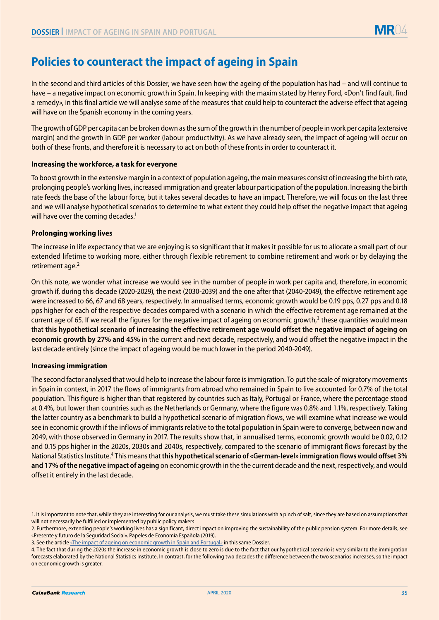# **Policies to counteract the impact of ageing in Spain**

In the second and third articles of this Dossier, we have seen how the ageing of the population has had – and will continue to have – a negative impact on economic growth in Spain. In keeping with the maxim stated by Henry Ford, «Don't find fault, find a remedy», in this final article we will analyse some of the measures that could help to counteract the adverse effect that ageing will have on the Spanish economy in the coming years.

The growth of GDP per capita can be broken down as the sum of the growth in the number of people in work per capita (extensive margin) and the growth in GDP per worker (labour productivity). As we have already seen, the impact of ageing will occur on both of these fronts, and therefore it is necessary to act on both of these fronts in order to counteract it.

## **Increasing the workforce, a task for everyone**

To boost growth in the extensive margin in a context of population ageing, the main measures consist of increasing the birth rate, prolonging people's working lives, increased immigration and greater labour participation of the population. Increasing the birth rate feeds the base of the labour force, but it takes several decades to have an impact. Therefore, we will focus on the last three and we will analyse hypothetical scenarios to determine to what extent they could help offset the negative impact that ageing will have over the coming decades.<sup>1</sup>

#### **Prolonging working lives**

The increase in life expectancy that we are enjoying is so significant that it makes it possible for us to allocate a small part of our extended lifetime to working more, either through flexible retirement to combine retirement and work or by delaying the retirement age.<sup>2</sup>

On this note, we wonder what increase we would see in the number of people in work per capita and, therefore, in economic growth if, during this decade (2020-2029), the next (2030-2039) and the one after that (2040-2049), the effective retirement age were increased to 66, 67 and 68 years, respectively. In annualised terms, economic growth would be 0.19 pps, 0.27 pps and 0.18 pps higher for each of the respective decades compared with a scenario in which the effective retirement age remained at the current age of 65. If we recall the figures for the negative impact of ageing on economic growth, $3$  these quantities would mean that **this hypothetical scenario of increasing the effective retirement age would offset the negative impact of ageing on economic growth by 27% and 45%** in the current and next decade, respectively, and would offset the negative impact in the last decade entirely (since the impact of ageing would be much lower in the period 2040-2049).

#### **Increasing immigration**

The second factor analysed that would help to increase the labour force is immigration. To put the scale of migratory movements in Spain in context, in 2017 the flows of immigrants from abroad who remained in Spain to live accounted for 0.7% of the total population. This figure is higher than that registered by countries such as Italy, Portugal or France, where the percentage stood at 0.4%, but lower than countries such as the Netherlands or Germany, where the figure was 0.8% and 1.1%, respectively. Taking the latter country as a benchmark to build a hypothetical scenario of migration flows, we will examine what increase we would see in economic growth if the inflows of immigrants relative to the total population in Spain were to converge, between now and 2049, with those observed in Germany in 2017. The results show that, in annualised terms, economic growth would be 0.02, 0.12 and 0.15 pps higher in the 2020s, 2030s and 2040s, respectively, compared to the scenario of immigrant flows forecast by the National Statistics Institute.4 This means that **this hypothetical scenario of «German-level» immigration flows would offset 3% and 17% of the negative impact of ageing** on economic growth in the the current decade and the next, respectively, and would offset it entirely in the last decade.

<sup>1.</sup> It is important to note that, while they are interesting for our analysis, we must take these simulations with a pinch of salt, since they are based on assumptions that will not necessarily be fulfilled or implemented by public policy makers.

<sup>2.</sup> Furthermore, extending people's working lives has a significant, direct impact on improving the sustainability of the public pension system. For more details, see «Presente y futuro de la Seguridad Social». Papeles de Economía Española (2019).

<sup>3.</sup> See the article [«The impact of ageing on economic growth in Spain and Portugal»](https://www.caixabankresearch.com/en/impact-ageing-economic-growth-spain-and-portugal) in this same Dossier.

<sup>4.</sup> The fact that during the 2020s the increase in economic growth is close to zero is due to the fact that our hypothetical scenario is very similar to the immigration forecasts elaborated by the National Statistics Institute. In contrast, for the following two decades the difference between the two scenarios increases, so the impact on economic growth is greater.